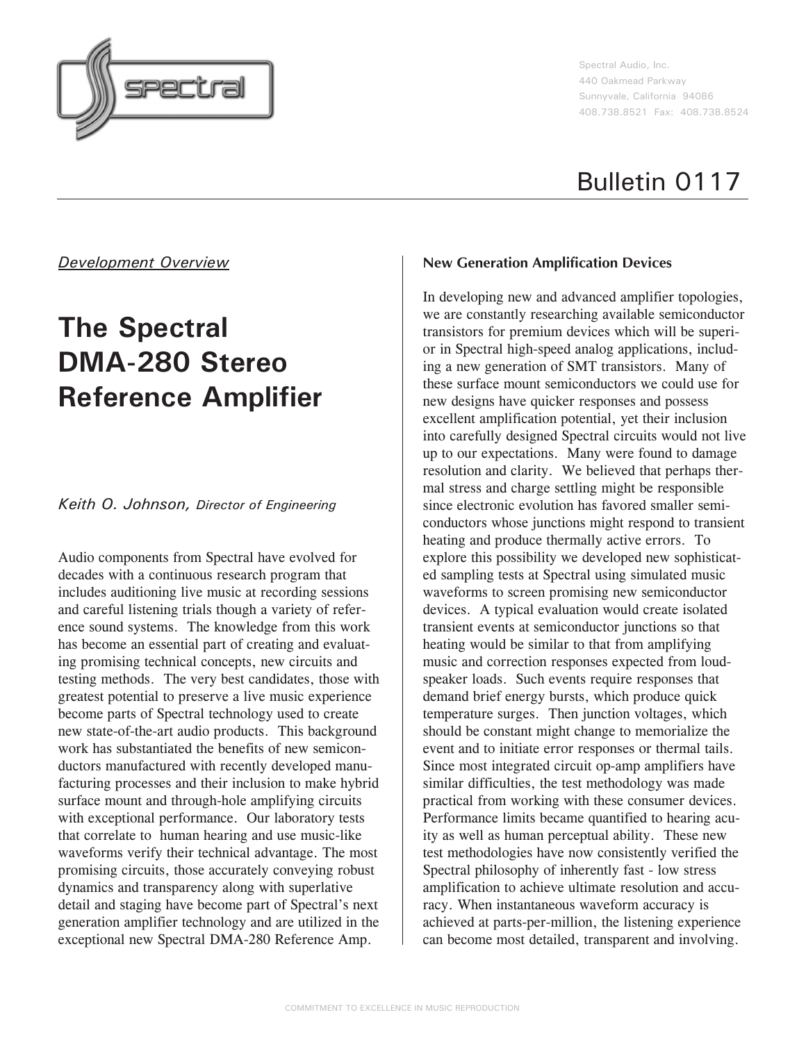

Spectral Audio, Inc. 440 Oakmead Parkway Sunnyvale, California 94086 408.738.8521 Fax: 408.738.8524

# Bulletin 0117

## *Development Overview*

# **The Spectral DMA-280 Stereo Reference Amplifier**

### *Keith O. Johnson, Director of Engineering*

Audio components from Spectral have evolved for decades with a continuous research program that includes auditioning live music at recording sessions and careful listening trials though a variety of reference sound systems. The knowledge from this work has become an essential part of creating and evaluating promising technical concepts, new circuits and testing methods. The very best candidates, those with greatest potential to preserve a live music experience become parts of Spectral technology used to create new state-of-the-art audio products. This background work has substantiated the benefits of new semiconductors manufactured with recently developed manufacturing processes and their inclusion to make hybrid surface mount and through-hole amplifying circuits with exceptional performance. Our laboratory tests that correlate to human hearing and use music-like waveforms verify their technical advantage. The most promising circuits, those accurately conveying robust dynamics and transparency along with superlative detail and staging have become part of Spectral's next generation amplifier technology and are utilized in the exceptional new Spectral DMA-280 Reference Amp.

#### **New Generation Amplification Devices**

In developing new and advanced amplifier topologies, we are constantly researching available semiconductor transistors for premium devices which will be superior in Spectral high-speed analog applications, including a new generation of SMT transistors. Many of these surface mount semiconductors we could use for new designs have quicker responses and possess excellent amplification potential, yet their inclusion into carefully designed Spectral circuits would not live up to our expectations. Many were found to damage resolution and clarity. We believed that perhaps thermal stress and charge settling might be responsible since electronic evolution has favored smaller semiconductors whose junctions might respond to transient heating and produce thermally active errors. To explore this possibility we developed new sophisticated sampling tests at Spectral using simulated music waveforms to screen promising new semiconductor devices. A typical evaluation would create isolated transient events at semiconductor junctions so that heating would be similar to that from amplifying music and correction responses expected from loudspeaker loads. Such events require responses that demand brief energy bursts, which produce quick temperature surges. Then junction voltages, which should be constant might change to memorialize the event and to initiate error responses or thermal tails. Since most integrated circuit op-amp amplifiers have similar difficulties, the test methodology was made practical from working with these consumer devices. Performance limits became quantified to hearing acuity as well as human perceptual ability. These new test methodologies have now consistently verified the Spectral philosophy of inherently fast - low stress amplification to achieve ultimate resolution and accuracy. When instantaneous waveform accuracy is achieved at parts-per-million, the listening experience can become most detailed, transparent and involving.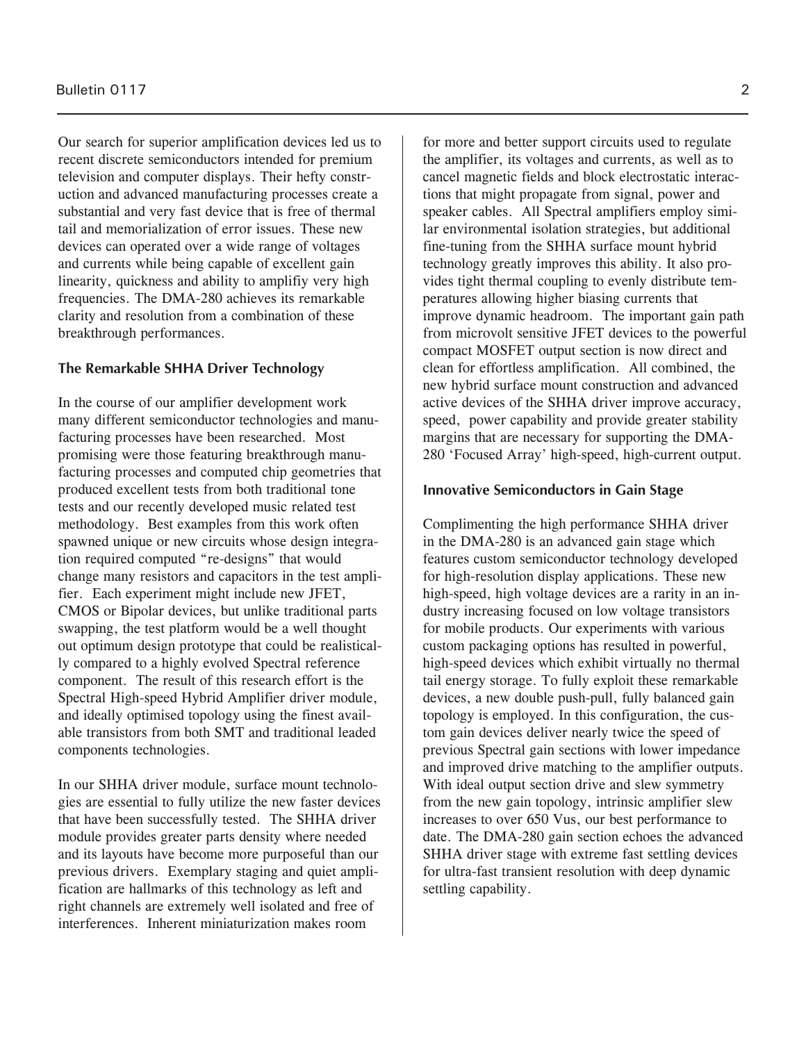Our search for superior amplification devices led us to recent discrete semiconductors intended for premium television and computer displays. Their hefty construction and advanced manufacturing processes create a substantial and very fast device that is free of thermal tail and memorialization of error issues. These new devices can operated over a wide range of voltages and currents while being capable of excellent gain linearity, quickness and ability to amplifiy very high frequencies. The DMA-280 achieves its remarkable clarity and resolution from a combination of these breakthrough performances.

#### **The Remarkable SHHA Driver Technology**

In the course of our amplifier development work many different semiconductor technologies and manufacturing processes have been researched. Most promising were those featuring breakthrough manufacturing processes and computed chip geometries that produced excellent tests from both traditional tone tests and our recently developed music related test methodology. Best examples from this work often spawned unique or new circuits whose design integration required computed "re-designs" that would change many resistors and capacitors in the test amplifier. Each experiment might include new JFET, CMOS or Bipolar devices, but unlike traditional parts swapping, the test platform would be a well thought out optimum design prototype that could be realistically compared to a highly evolved Spectral reference component. The result of this research effort is the Spectral High-speed Hybrid Amplifier driver module, and ideally optimised topology using the finest available transistors from both SMT and traditional leaded components technologies.

In our SHHA driver module, surface mount technologies are essential to fully utilize the new faster devices that have been successfully tested. The SHHA driver module provides greater parts density where needed and its layouts have become more purposeful than our previous drivers. Exemplary staging and quiet amplification are hallmarks of this technology as left and right channels are extremely well isolated and free of interferences. Inherent miniaturization makes room

for more and better support circuits used to regulate the amplifier, its voltages and currents, as well as to cancel magnetic fields and block electrostatic interactions that might propagate from signal, power and speaker cables. All Spectral amplifiers employ similar environmental isolation strategies, but additional fine-tuning from the SHHA surface mount hybrid technology greatly improves this ability. It also provides tight thermal coupling to evenly distribute temperatures allowing higher biasing currents that improve dynamic headroom. The important gain path from microvolt sensitive JFET devices to the powerful compact MOSFET output section is now direct and clean for effortless amplification. All combined, the new hybrid surface mount construction and advanced active devices of the SHHA driver improve accuracy, speed, power capability and provide greater stability margins that are necessary for supporting the DMA-280 'Focused Array' high-speed, high-current output.

#### **Innovative Semiconductors in Gain Stage**

Complimenting the high performance SHHA driver in the DMA-280 is an advanced gain stage which features custom semiconductor technology developed for high-resolution display applications. These new high-speed, high voltage devices are a rarity in an industry increasing focused on low voltage transistors for mobile products. Our experiments with various custom packaging options has resulted in powerful, high-speed devices which exhibit virtually no thermal tail energy storage. To fully exploit these remarkable devices, a new double push-pull, fully balanced gain topology is employed. In this configuration, the custom gain devices deliver nearly twice the speed of previous Spectral gain sections with lower impedance and improved drive matching to the amplifier outputs. With ideal output section drive and slew symmetry from the new gain topology, intrinsic amplifier slew increases to over 650 Vus, our best performance to date. The DMA-280 gain section echoes the advanced SHHA driver stage with extreme fast settling devices for ultra-fast transient resolution with deep dynamic settling capability.